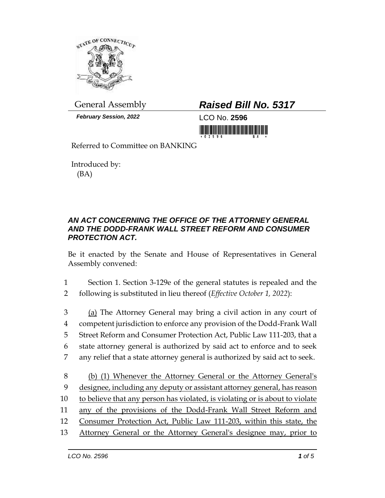

*February Session, 2022* LCO No. **2596**

## General Assembly *Raised Bill No. 5317*



Referred to Committee on BANKING

Introduced by: (BA)

## *AN ACT CONCERNING THE OFFICE OF THE ATTORNEY GENERAL AND THE DODD-FRANK WALL STREET REFORM AND CONSUMER PROTECTION ACT.*

Be it enacted by the Senate and House of Representatives in General Assembly convened:

1 Section 1. Section 3-129e of the general statutes is repealed and the 2 following is substituted in lieu thereof (*Effective October 1, 2022*):

3 (a) The Attorney General may bring a civil action in any court of competent jurisdiction to enforce any provision of the Dodd-Frank Wall Street Reform and Consumer Protection Act, Public Law 111-203, that a state attorney general is authorized by said act to enforce and to seek any relief that a state attorney general is authorized by said act to seek.

 (b) (1) Whenever the Attorney General or the Attorney General's designee, including any deputy or assistant attorney general, has reason to believe that any person has violated, is violating or is about to violate any of the provisions of the Dodd-Frank Wall Street Reform and Consumer Protection Act, Public Law 111-203, within this state, the Attorney General or the Attorney General's designee may, prior to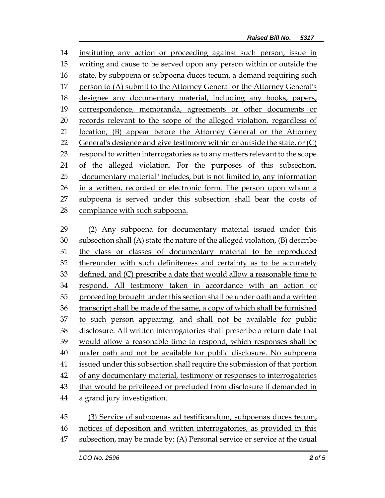instituting any action or proceeding against such person, issue in writing and cause to be served upon any person within or outside the state, by subpoena or subpoena duces tecum, a demand requiring such person to (A) submit to the Attorney General or the Attorney General's designee any documentary material, including any books, papers, correspondence, memoranda, agreements or other documents or records relevant to the scope of the alleged violation, regardless of location, (B) appear before the Attorney General or the Attorney General's designee and give testimony within or outside the state, or (C) respond to written interrogatories as to any matters relevant to the scope of the alleged violation. For the purposes of this subsection, "documentary material" includes, but is not limited to, any information in a written, recorded or electronic form. The person upon whom a subpoena is served under this subsection shall bear the costs of compliance with such subpoena. (2) Any subpoena for documentary material issued under this

 subsection shall (A) state the nature of the alleged violation, (B) describe the class or classes of documentary material to be reproduced thereunder with such definiteness and certainty as to be accurately defined, and (C) prescribe a date that would allow a reasonable time to respond. All testimony taken in accordance with an action or proceeding brought under this section shall be under oath and a written transcript shall be made of the same, a copy of which shall be furnished to such person appearing, and shall not be available for public disclosure. All written interrogatories shall prescribe a return date that would allow a reasonable time to respond, which responses shall be under oath and not be available for public disclosure. No subpoena issued under this subsection shall require the submission of that portion of any documentary material, testimony or responses to interrogatories 43 that would be privileged or precluded from disclosure if demanded in a grand jury investigation. (3) Service of subpoenas ad testificandum, subpoenas duces tecum,

- notices of deposition and written interrogatories, as provided in this
- subsection, may be made by: (A) Personal service or service at the usual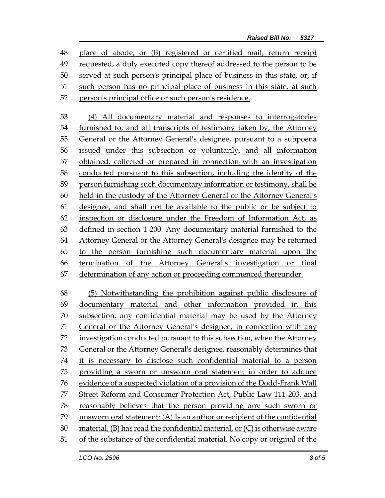place of abode, or (B) registered or certified mail, return receipt requested, a duly executed copy thereof addressed to the person to be served at such person's principal place of business in this state, or, if such person has no principal place of business in this state, at such person's principal office or such person's residence.

 (4) All documentary material and responses to interrogatories furnished to, and all transcripts of testimony taken by, the Attorney General or the Attorney General's designee, pursuant to a subpoena issued under this subsection or voluntarily, and all information obtained, collected or prepared in connection with an investigation conducted pursuant to this subsection, including the identity of the person furnishing such documentary information or testimony, shall be held in the custody of the Attorney General or the Attorney General's designee, and shall not be available to the public or be subject to inspection or disclosure under the Freedom of Information Act, as defined in section 1-200. Any documentary material furnished to the Attorney General or the Attorney General's designee may be returned to the person furnishing such documentary material upon the termination of the Attorney General's investigation or final determination of any action or proceeding commenced thereunder.

 (5) Notwithstanding the prohibition against public disclosure of documentary material and other information provided in this subsection, any confidential material may be used by the Attorney General or the Attorney General's designee, in connection with any 72 investigation conducted pursuant to this subsection, when the Attorney General or the Attorney General's designee, reasonably determines that it is necessary to disclose such confidential material to a person providing a sworn or unsworn oral statement in order to adduce evidence of a suspected violation of a provision of the Dodd-Frank Wall Street Reform and Consumer Protection Act, Public Law 111-203, and reasonably believes that the person providing any such sworn or unsworn oral statement: (A) Is an author or recipient of the confidential material, (B) has read the confidential material, or (C) is otherwise aware of the substance of the confidential material. No copy or original of the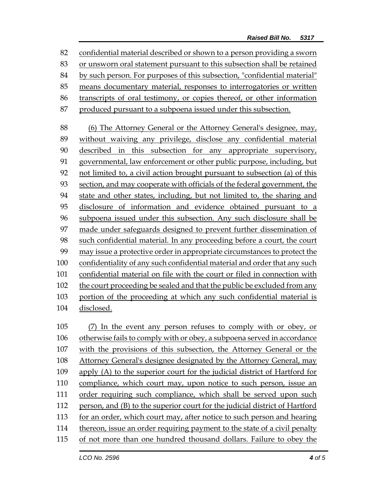confidential material described or shown to a person providing a sworn or unsworn oral statement pursuant to this subsection shall be retained by such person. For purposes of this subsection, "confidential material" means documentary material, responses to interrogatories or written transcripts of oral testimony, or copies thereof, or other information produced pursuant to a subpoena issued under this subsection. (6) The Attorney General or the Attorney General's designee, may, without waiving any privilege, disclose any confidential material 90 described in this subsection for any appropriate supervisory, governmental, law enforcement or other public purpose, including, but not limited to, a civil action brought pursuant to subsection (a) of this section, and may cooperate with officials of the federal government, the state and other states, including, but not limited to, the sharing and disclosure of information and evidence obtained pursuant to a subpoena issued under this subsection. Any such disclosure shall be made under safeguards designed to prevent further dissemination of such confidential material. In any proceeding before a court, the court may issue a protective order in appropriate circumstances to protect the confidentiality of any such confidential material and order that any such confidential material on file with the court or filed in connection with 102 the court proceeding be sealed and that the public be excluded from any portion of the proceeding at which any such confidential material is disclosed. (7) In the event any person refuses to comply with or obey, or otherwise fails to comply with or obey, a subpoena served in accordance with the provisions of this subsection, the Attorney General or the Attorney General's designee designated by the Attorney General, may apply (A) to the superior court for the judicial district of Hartford for compliance, which court may, upon notice to such person, issue an order requiring such compliance, which shall be served upon such person, and (B) to the superior court for the judicial district of Hartford for an order, which court may, after notice to such person and hearing

- thereon, issue an order requiring payment to the state of a civil penalty
- of not more than one hundred thousand dollars. Failure to obey the